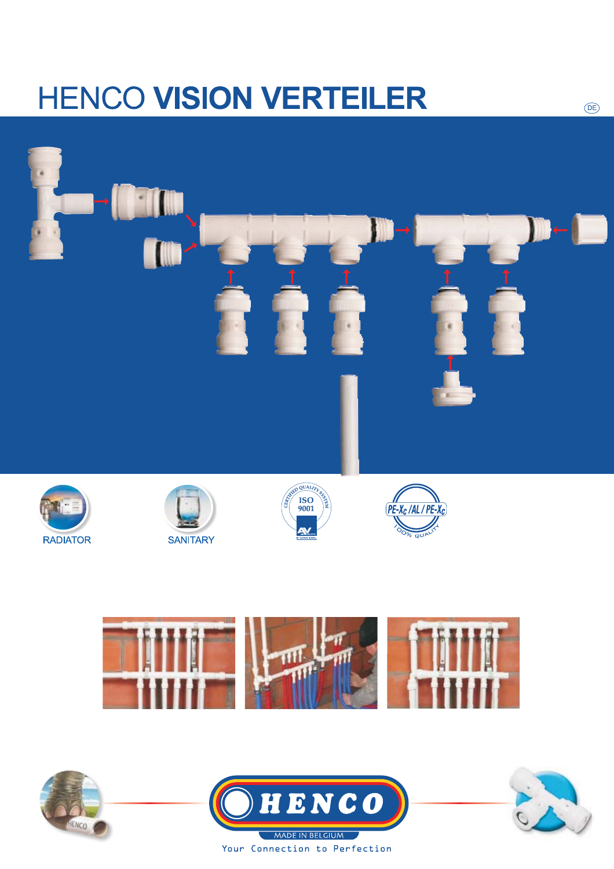# **HENCO VISION VERTEILER**











 $(DE)$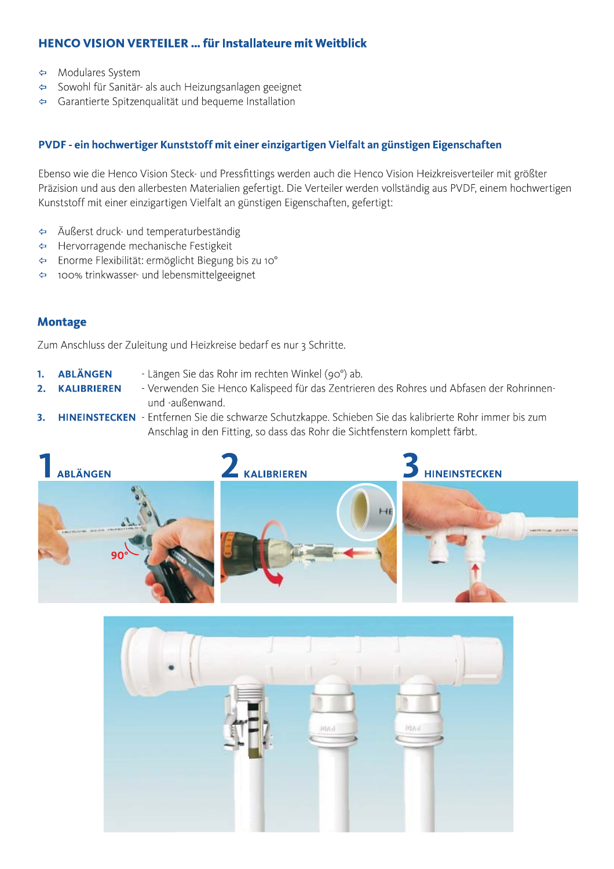### **HENCO VISION VERTEILER ... für Installateure mit Weitblick**

- Modulares System  $\Leftrightarrow$
- Sowohl für Sanitär- als auch Heizungsanlagen geeignet  $\Leftrightarrow$
- Garantierte Spitzenqualität und bequeme Installation  $\triangle$

#### PVDF - ein hochwertiger Kunststoff mit einer einzigartigen Vielfalt an günstigen Eigenschaften

Ebenso wie die Henco Vision Steck- und Pressfittings werden auch die Henco Vision Heizkreisverteiler mit größter Präzision und aus den allerbesten Materialien gefertigt. Die Verteiler werden vollständig aus PVDF, einem hochwertigen Kunststoff mit einer einzigartigen Vielfalt an günstigen Eigenschaften, gefertigt:

- Äußerst druck- und temperaturbeständig  $\Leftrightarrow$
- Hervorragende mechanische Festigkeit  $\leftarrow$
- Enorme Flexibilität: ermöglicht Biegung bis zu 10°  $\Leftrightarrow$
- 100% trinkwasser- und lebensmittelgeeignet  $\Leftrightarrow$

#### **Montage**

Zum Anschluss der Zuleitung und Heizkreise bedarf es nur 3 Schritte.

- **ABLÄNGEN** - Längen Sie das Rohr im rechten Winkel (90°) ab. 1.
- **KALIBRIEREN** - Verwenden Sie Henco Kalispeed für das Zentrieren des Rohres und Abfasen der Rohrinnen- $2.$ und -außenwand.
- HINEINSTECKEN Entfernen Sie die schwarze Schutzkappe. Schieben Sie das kalibrierte Rohr immer bis zum  $3.$ Anschlag in den Fitting, so dass das Rohr die Sichtfenstern komplett färbt.



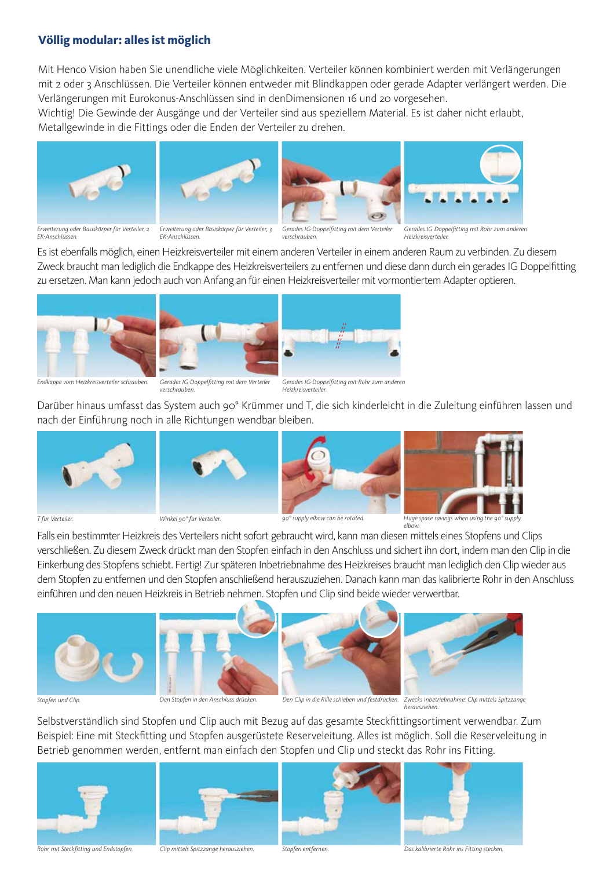#### Völlig modular: alles ist möglich

Mit Henco Vision haben Sie unendliche viele Möglichkeiten. Verteiler können kombiniert werden mit Verlängerungen mit z oder 3 Anschlüssen. Die Verteiler können entweder mit Blindkappen oder gerade Adapter verlängert werden. Die Verlängerungen mit Eurokonus-Anschlüssen sind in denDimensionen 16 und 20 vorgesehen.

Wichtig! Die Gewinde der Ausgänge und der Verteiler sind aus speziellem Material. Es ist daher nicht erlaubt, Metallgewinde in die Fittings oder die Enden der Verteiler zu drehen.









Erweiterung oder Basiskörper für Verteiler, 2 EK-Anschlüssen

Erweiterung oder Basiskörper für Verteiler, 3  $FK\text{-}Anchliiscon$ 

Gerades IG Doppelfitting mit dem Verteiler verschrauhen

Gerades IG Doppelfitting mit Rohr zum anderer Heizkreisverteiler

Es ist ebenfalls möglich, einen Heizkreisverteiler mit einem anderen Verteiler in einem anderen Raum zu verbinden. Zu diesem Zweck braucht man lediglich die Endkappe des Heizkreisverteilers zu entfernen und diese dann durch ein gerades IG Doppelfitting zu ersetzen. Man kann jedoch auch von Anfang an für einen Heizkreisverteiler mit vormontiertem Adapter optieren.







Endkanne vom Heizkreisverteiler schrauben.

Gerades IG Donnelfitting mit dem Verteiler verschrauben

Gerades IG Doppelfitting mit Rohr zum anderen Heizkreisverteilei

Darüber hinaus umfasst das System auch 90° Krümmer und T, die sich kinderleicht in die Zuleitung einführen lassen und nach der Einführung noch in alle Richtungen wendbar bleiben.





Winkel on<sup>o</sup> für Verteiler





Huge space savings when using the 90° supply  $olhou$ 

Falls ein bestimmter Heizkreis des Verteilers nicht sofort gebraucht wird, kann man diesen mittels eines Stopfens und Clips verschließen. Zu diesem Zweck drückt man den Stopfen einfach in den Anschluss und sichert ihn dort, indem man den Clip in die Einkerbung des Stopfens schiebt. Fertig! Zur späteren Inbetriebnahme des Heizkreises braucht man lediglich den Clip wieder aus dem Stopfen zu entfernen und den Stopfen anschließend herauszuziehen. Danach kann man das kalibrierte Rohr in den Anschluss einführen und den neuen Heizkreis in Betrieb nehmen. Stopfen und Clip sind beide wieder verwertbar.







Stopfen und Clip

Den Stonfen in den Anschluss drücken.

Den Clip in die Rille schieben und festdrücken. Zwecks Inbetriebnahme: Clip mittels Spitzzange

Selbstverständlich sind Stopfen und Clip auch mit Bezug auf das gesamte Steckfittingsortiment verwendbar. Zum Beispiel: Eine mit Steckfitting und Stopfen ausgerüstete Reserveleitung. Alles ist möglich. Soll die Reserveleitung in Betrieb genommen werden, entfernt man einfach den Stopfen und Clip und steckt das Rohr ins Fitting.







Rohr mit Steckfitting und Endstopfen.

Clip mittels Spitzzange herausziehen.

Stopfen entfernen

Das kalibrierte Rohr ins Fitting stecken.